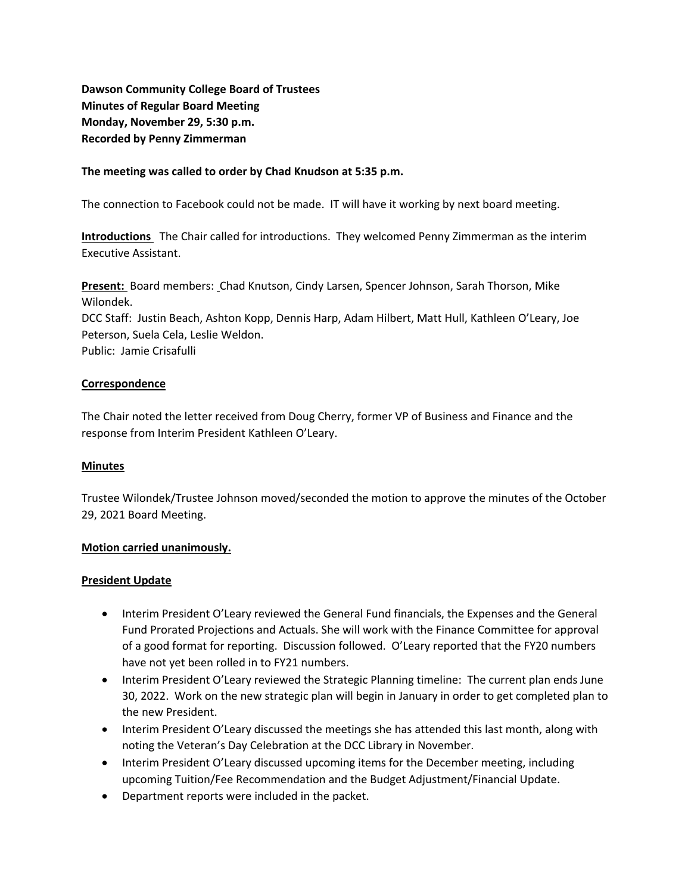**Dawson Community College Board of Trustees Minutes of Regular Board Meeting Monday, November 29, 5:30 p.m. Recorded by Penny Zimmerman**

### **The meeting was called to order by Chad Knudson at 5:35 p.m.**

The connection to Facebook could not be made. IT will have it working by next board meeting.

**Introductions** The Chair called for introductions. They welcomed Penny Zimmerman as the interim Executive Assistant.

**Present:** Board members: Chad Knutson, Cindy Larsen, Spencer Johnson, Sarah Thorson, Mike Wilondek.

DCC Staff: Justin Beach, Ashton Kopp, Dennis Harp, Adam Hilbert, Matt Hull, Kathleen O'Leary, Joe Peterson, Suela Cela, Leslie Weldon.

Public: Jamie Crisafulli

#### **Correspondence**

The Chair noted the letter received from Doug Cherry, former VP of Business and Finance and the response from Interim President Kathleen O'Leary.

#### **Minutes**

Trustee Wilondek/Trustee Johnson moved/seconded the motion to approve the minutes of the October 29, 2021 Board Meeting.

#### **Motion carried unanimously.**

#### **President Update**

- Interim President O'Leary reviewed the General Fund financials, the Expenses and the General Fund Prorated Projections and Actuals. She will work with the Finance Committee for approval of a good format for reporting. Discussion followed. O'Leary reported that the FY20 numbers have not yet been rolled in to FY21 numbers.
- Interim President O'Leary reviewed the Strategic Planning timeline: The current plan ends June 30, 2022. Work on the new strategic plan will begin in January in order to get completed plan to the new President.
- Interim President O'Leary discussed the meetings she has attended this last month, along with noting the Veteran's Day Celebration at the DCC Library in November.
- Interim President O'Leary discussed upcoming items for the December meeting, including upcoming Tuition/Fee Recommendation and the Budget Adjustment/Financial Update.
- Department reports were included in the packet.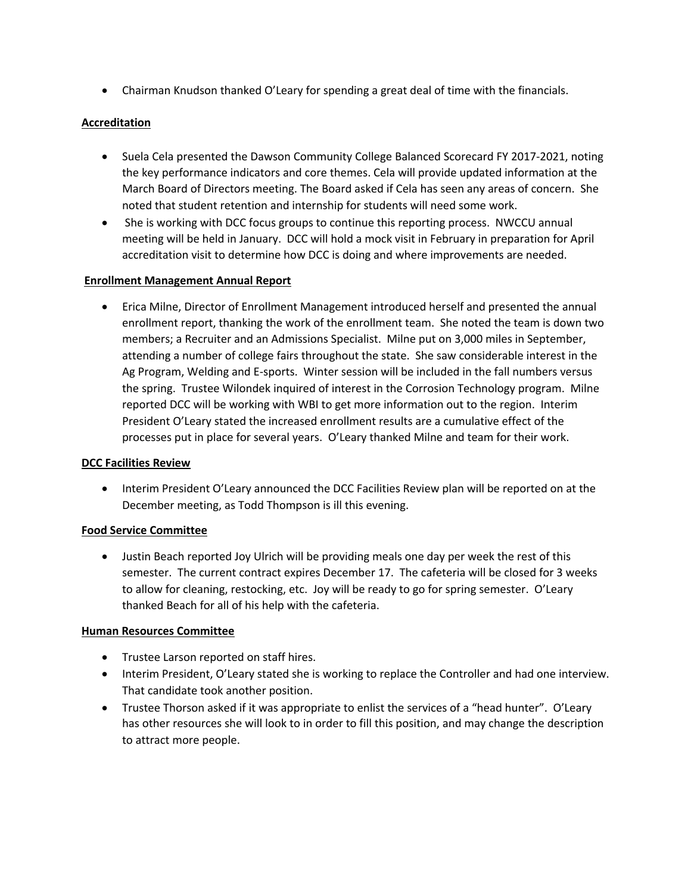• Chairman Knudson thanked O'Leary for spending a great deal of time with the financials.

# **Accreditation**

- Suela Cela presented the Dawson Community College Balanced Scorecard FY 2017-2021, noting the key performance indicators and core themes. Cela will provide updated information at the March Board of Directors meeting. The Board asked if Cela has seen any areas of concern. She noted that student retention and internship for students will need some work.
- She is working with DCC focus groups to continue this reporting process. NWCCU annual meeting will be held in January. DCC will hold a mock visit in February in preparation for April accreditation visit to determine how DCC is doing and where improvements are needed.

# **Enrollment Management Annual Report**

• Erica Milne, Director of Enrollment Management introduced herself and presented the annual enrollment report, thanking the work of the enrollment team. She noted the team is down two members; a Recruiter and an Admissions Specialist. Milne put on 3,000 miles in September, attending a number of college fairs throughout the state. She saw considerable interest in the Ag Program, Welding and E-sports. Winter session will be included in the fall numbers versus the spring. Trustee Wilondek inquired of interest in the Corrosion Technology program. Milne reported DCC will be working with WBI to get more information out to the region. Interim President O'Leary stated the increased enrollment results are a cumulative effect of the processes put in place for several years. O'Leary thanked Milne and team for their work.

# **DCC Facilities Review**

• Interim President O'Leary announced the DCC Facilities Review plan will be reported on at the December meeting, as Todd Thompson is ill this evening.

# **Food Service Committee**

• Justin Beach reported Joy Ulrich will be providing meals one day per week the rest of this semester. The current contract expires December 17. The cafeteria will be closed for 3 weeks to allow for cleaning, restocking, etc. Joy will be ready to go for spring semester. O'Leary thanked Beach for all of his help with the cafeteria.

# **Human Resources Committee**

- Trustee Larson reported on staff hires.
- Interim President, O'Leary stated she is working to replace the Controller and had one interview. That candidate took another position.
- Trustee Thorson asked if it was appropriate to enlist the services of a "head hunter". O'Leary has other resources she will look to in order to fill this position, and may change the description to attract more people.